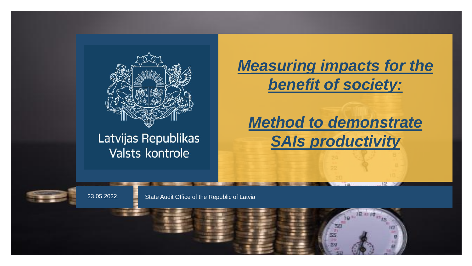

### Latvijas Republikas Valsts kontrole

*Measuring impacts for the benefit of society:*

*Method to demonstrate SAIs productivity*

23.05.2022. State Audit Office of the Republic of Latvia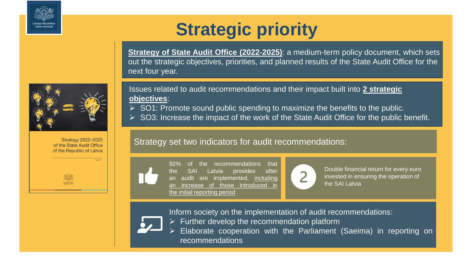



**Strategy of State Audit Office (2022-2025)**: a medium-term policy document, which sets out the strategic objectives, priorities, and planned results of the State Audit Office for the next four year.

Issues related to audit recommendations and their impact built into **2 strategic objectives**:

- $\triangleright$  SO1: Promote sound public spending to maximize the benefits to the public.
- ➢ SO3: Increase the impact of the work of the State Audit Office for the public benefit.

#### Strategy set two indicators for audit recommendations:



**Strategy 2022-2025** of the State Audit Office of the Republic of Latvia

> the recommendations that the SAI Latvia provides after an audit are implemented, including increase of those introduced the initial reporting period



Double financial return for every euro invested in ensuring the operation of the SAI Latvia

Inform society on the implementation of audit recommendations:



 $\triangleright$  Further develop the recommendation platform

Elaborate cooperation with the Parliament (Saeima) in reporting on recommendations

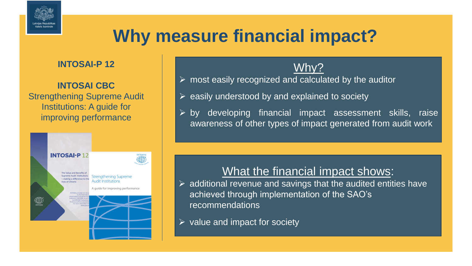

# **Why measure financial impact?**

#### **INTOSAI-P 12**

#### **INTOSAI CBC**  Strengthening Supreme Audit Institutions: A guide for improving performance



### Why?

- $\triangleright$  most easily recognized and calculated by the auditor
- $\triangleright$  easily understood by and explained to society
- $\triangleright$  by developing financial impact assessment skills, raise awareness of other types of impact generated from audit work

### What the financial impact shows:

- $\triangleright$  additional revenue and savings that the audited entities have achieved through implementation of the SAO's recommendations
- $\triangleright$  value and impact for society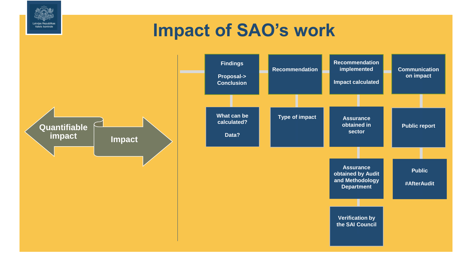## **Impact of SAO's work**

Latvijas Republikas Valsts kontrole

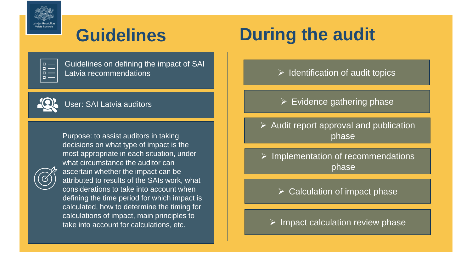

## **Guidelines**

| г<br>L |  |
|--------|--|
| Đ<br>г |  |
| ٥<br>г |  |
|        |  |
|        |  |

Guidelines on defining the impact of SAI Latvia recommendations



User: SAI Latvia auditors



Purpose: to assist auditors in taking decisions on what type of impact is the most appropriate in each situation, under what circumstance the auditor can ascertain whether the impact can be attributed to results of the SAIs work, what considerations to take into account when defining the time period for which impact is calculated, how to determine the timing for calculations of impact, main principles to take into account for calculations, etc.

# **During the audit**

- $\triangleright$  Identification of audit topics
- $\triangleright$  Evidence gathering phase
- $\triangleright$  Audit report approval and publication phase
- ➢ Implementation of recommendations phase
	- $\triangleright$  Calculation of impact phase
	- $\triangleright$  Impact calculation review phase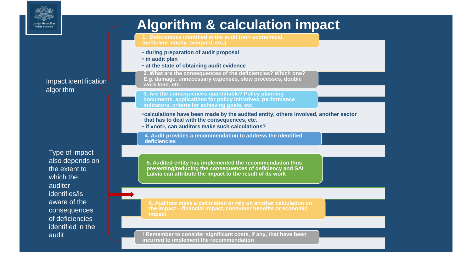

### **Algorithm & calculation impact**

**1. Deficiencies identified in the audit (non-economical, inefficient, costly, overpaid, etc.)**

- **during preparation of audit proposal**
- **in audit plan**
- **at the state of obtaining audit evidence**

**2. What are the consequences of the deficiencies? Which one? E.g. damage, unnecessary expenses, slow processes, double work load, etc.**

**3. Are the consequences quantifiable? Policy planning documents, applications for policy initiatives, performance indicators, criteria for achieving goals, etc.**

- •**calculations have been made by the audited entity, others involved, another sector that has to deal with the consequences, etc.**
- **if «not», can auditors make such calculations?**

**4. Audit provides a recommendation to address the identified deficiencies**

**5. Audited entity has implemented the recommendation thus preventing/reducing the consequences of deficiency and SAI Latvia can attribute the impact to the result of its work** 

**6. Auditors make a calculation or rely on another calculation on the impact – financial impact, consumer benefits or economic impact**

**! Remember to consider significant costs, if any, that have been incurred to implement the recommendation**

Type of impact also depends on the extent to which the auditor identifies/is aware of the consequences of deficiencies identified in the audit

Impact identification algorithm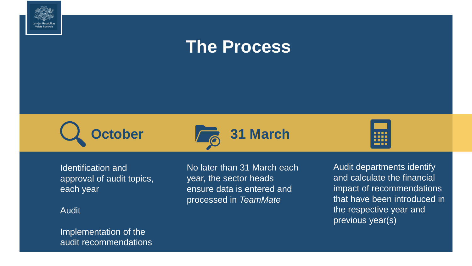







Identification and approval of audit topics, each year

Audit

Implementation of the audit recommendations No later than 31 March each year, the sector heads ensure data is entered and processed in *TeamMate*

Audit departments identify and calculate the financial impact of recommendations that have been introduced in the respective year and previous year(s)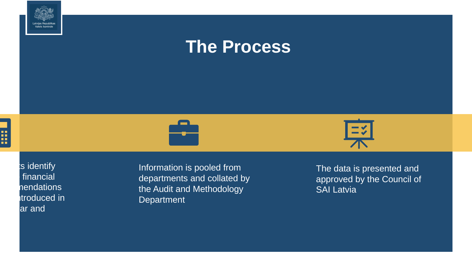





ts identify financial nendations troduced in ar and

Information is pooled from departments and collated by the Audit and Methodology **Department** 

The data is presented and approved by the Council of SAI Latvia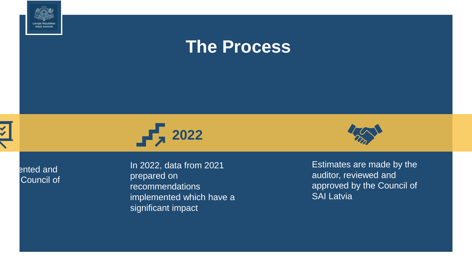





ented and Council of

In 2022, data from 2021 prepared on recommendations implemented which have a significant impact



Estimates are made by the auditor, reviewed and approved by the Council of SAI Latvia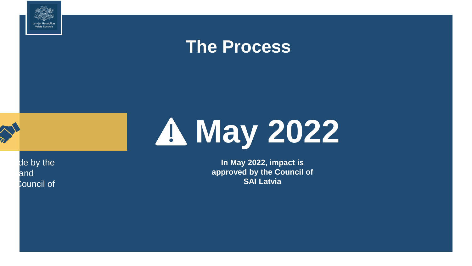





de by the and Council of

**In May 2022, impact is approved by the Council of SAI Latvia**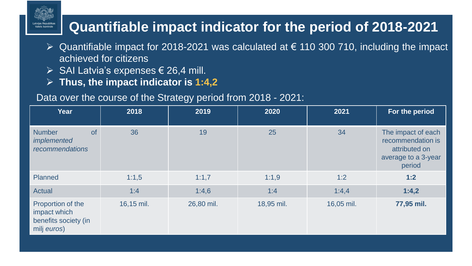### **Quantifiable impact indicator for the period of 2018-2021**

- $\triangleright$  Quantifiable impact for 2018-2021 was calculated at  $\epsilon$  110 300 710, including the impact achieved for citizens
- $\triangleright$  SAI Latvia's expenses  $\in$  26,4 mill.
- ➢ **Thus, the impact indicator is 1:4,2**

#### Data over the course of the Strategy period from 2018 - 2021:

| <b>Year</b>                                                              | 2018       | 2019       | 2020       | 2021       | For the period                                                                            |
|--------------------------------------------------------------------------|------------|------------|------------|------------|-------------------------------------------------------------------------------------------|
| <b>of</b><br><b>Number</b><br>implemented<br>recommendations             | 36         | 19         | 25         | 34         | The impact of each<br>recommendation is<br>attributed on<br>average to a 3-year<br>period |
| <b>Planned</b>                                                           | 1:1,5      | 1:1,7      | 1:1,9      | 1:2        | 1:2                                                                                       |
| <b>Actual</b>                                                            | 1:4        | 1:4,6      | 1:4        | 1:4,4      | 1:4,2                                                                                     |
| Proportion of the<br>impact which<br>benefits society (in<br>milj euros) | 16,15 mil. | 26,80 mil. | 18,95 mil. | 16,05 mil. | 77,95 mil.                                                                                |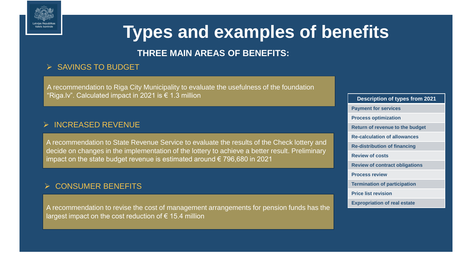

# **Types and examples of benefits**

#### **THREE MAIN AREAS OF BENEFITS:**

#### ➢ SAVINGS TO BUDGET

A recommendation to Riga City Municipality to evaluate the usefulness of the foundation "Riga.lv". Calculated impact in 2021 is  $\epsilon$  1.3 million

#### ➢ INCREASED REVENUE

A recommendation to State Revenue Service to evaluate the results of the Check lottery and decide on changes in the implementation of the lottery to achieve a better result. Preliminary impact on the state budget revenue is estimated around € 796,680 in 2021

#### ➢ CONSUMER BENEFITS

A recommendation to revise the cost of management arrangements for pension funds has the largest impact on the cost reduction of  $\epsilon$  15.4 million

**Description of types from 2021 Payment for services Process optimization Return of revenue to the budget Re-calculation of allowances Re-distribution of financing Review of costs Review of contract obligations Process review Termination of participation Price list revision Expropriation of real estate**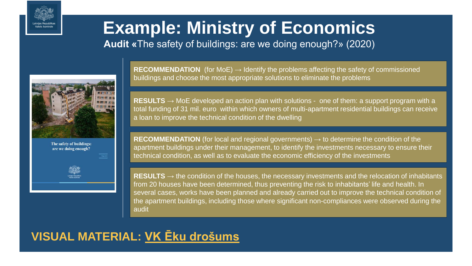

# **Example: Ministry of Economics**

**Audit «**The safety of buildings: are we doing enough?» (2020)



The safety of buildings: are we doing enough?



**RECOMMENDATION** (for MoE) → Identify the problems affecting the safety of commissioned buildings and choose the most appropriate solutions to eliminate the problems

**RESULTS** → MoE developed an action plan with solutions - one of them: a support program with a total funding of 31 mil. euro within which owners of multi-apartment residential buildings can receive a loan to improve the technical condition of the dwelling

**RECOMMENDATION** (for local and regional governments)  $\rightarrow$  to determine the condition of the apartment buildings under their management, to identify the investments necessary to ensure their technical condition, as well as to evaluate the economic efficiency of the investments

**RESULTS**  $\rightarrow$  the condition of the houses, the necessary investments and the relocation of inhabitants from 20 houses have been determined, thus preventing the risk to inhabitants' life and health. In several cases, works have been planned and already carried out to improve the technical condition of the apartment buildings, including those where significant non-compliances were observed during the audit

### **VISUAL MATERIAL: [VK Ēku drošums](http://intranet/Lists/SPIRK%20PREZENTCIJAS/Attachments/26/%C4%92ku%20Dro%C5%A1ums%20VK.pdf)**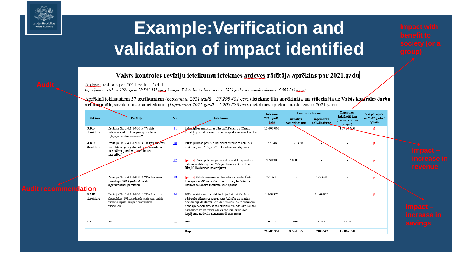

# **Example:Verification and validation of impact identified**

#### Valsts kontroles revīziju ieteikumu ietekmes atdeves rādītāja aprēķins par 2021.gadu

Atdeves rādītājs par 2021.gadu  $-1:4.4$ 

(aprēķinātā ietekme 2021.gadā 28 504 351 guro, kopējie Valsts kontroles izdevumi 2021.gadā pēc naudas plūsmas 6 503 241 guro)

Aprēķinā iekļautajiem 27 ieteikumiem (*kopsumma 2021.gadā – 27 298 481 <u>euro</u>)* ietekme tiks aprēķināta un attiecināta uz Valsts koptroles darbu arī takpmāk, savukārt astoņu ieteikumu (kopsumma 2021.gadā - 1 205 870 euro) ietekmes aprēķins noslēdzas ar 2021.gadu.

|                             |                         |                                                                                                                                                     |                 | <b>Ietekme</b>                                                                                                                                                                                                                                                                                                 | Finanšu ietekme   |                          | <b>Ieguvums</b>           | Vai pārejoša                                 |                                        |
|-----------------------------|-------------------------|-----------------------------------------------------------------------------------------------------------------------------------------------------|-----------------|----------------------------------------------------------------------------------------------------------------------------------------------------------------------------------------------------------------------------------------------------------------------------------------------------------------|-------------------|--------------------------|---------------------------|----------------------------------------------|----------------------------------------|
|                             | <b>Sektors</b>          | Revīzija                                                                                                                                            | Nr.             | <b>Ieteikums</b>                                                                                                                                                                                                                                                                                               | 2021.gadā.<br>awa | izmaksu<br>samazinājums  | ienēmumu<br>palielinājums | iedzīvotājiem<br>(vai sabiedrības<br>grupai) | uz 2022.gadu?<br>$(i\bar{a}/n\bar{e})$ |
|                             | 3.RD<br>1.sektors       | Revīzija Nr. 2.4.1-10/2016 "Valsts<br>politikas efektivitāte pensiju sistēmas<br>ilgtspējas nodrošināšanai"                                         | $\overline{11}$ | Labklajības ministrijai pārskatīt Pensiju 2.līmeņa<br>līdzekļu pārvaldīšanas izmaksu aprēķināšanas kārtību                                                                                                                                                                                                     | 15 400 000        |                          |                           | 5400000                                      | jā                                     |
|                             | 4.RD<br>3.sektors       | Revīzija Nr. 2.4.1-12/2018 "Rīgas pilsētas<br>pašvaldības piešķirto dotāciju biedrībām<br>un nodibinājumiem likvanība un<br>lietderība"             | 26              | Rīgas pilsētas pašvaldībai veikt turpmākās dalības<br>nodibinājumā "Riga.lv" lietderības izvērtējumu                                                                                                                                                                                                           | 1321480           | 1321480                  |                           |                                              | iā                                     |
|                             |                         |                                                                                                                                                     | 27              | [jauns] Rīgas pilsētas pašvaldībai veikt turpmākās<br>dalības nodibinājumā "Rīgas Tūrisma Attīstības<br>Birojs" lietderības izvērtējumu                                                                                                                                                                        | 2890387           | 2890387                  |                           |                                              | jā                                     |
| <b>Audit recommendation</b> |                         | Revīzija Nr. 2.4.1-14/2019 "Par Finanšu<br>ministrijas 2019.gada pārskata<br>sagatavošanas pareizību"                                               | 28              | [jauns] Valsts ieņēmumu dienestam izvērtēt Čeku<br>loterijas rezultātus un lemt par izmainām loterijas<br>īstenošanā labāka rezultāta sasniegšanai                                                                                                                                                             | 798 680           | $\overline{\phantom{0}}$ | 798 680                   |                                              | iā                                     |
|                             | <b>RMD</b><br>1.sektors | Revīzija Nr. 2.4.1-34/2015 "Par Latvijas<br>Republikas 2015.gada pārskatu par valsts<br>budžeta izpildi un par pašvaldību<br>budžetiem <sup>®</sup> | 34              | VID izveidot muitas deklarāciju datu atbilstības<br>pārbaužu atlases procesu, kurš balstīts uz muitas<br>deklarācijā deklarētajiem darījumiem piemītošajiem<br>nodokļu nenomaksāšanas riskiem, un datu atbilstības<br>pārbaudes veikt muitas deklarācijām ar lielāko<br>iespējamo nodokļu nenomaksāšanas risku | 1 169 973         | ٠                        | 1 169 973                 | $\overline{\phantom{a}}$                     | iā                                     |
|                             | $\sim$                  | $\cdots$                                                                                                                                            | $\cdots$        | 1.1111                                                                                                                                                                                                                                                                                                         |                   | .                        | .                         | .                                            |                                        |
|                             |                         |                                                                                                                                                     |                 | Kopā                                                                                                                                                                                                                                                                                                           | 28 504 351        | 9554585                  | 2903596                   | 16 046 170                                   |                                        |
|                             |                         |                                                                                                                                                     |                 |                                                                                                                                                                                                                                                                                                                |                   |                          |                           |                                              |                                        |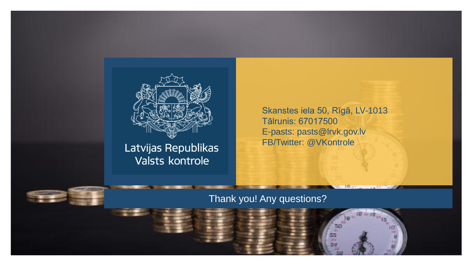

Latvijas Republikas Valsts kontrole

Skanstes iela 50, Rīgā, LV-1013 Tālrunis: 67017500 E-pasts: pasts@lrvk.gov.lv FB/Twitter: @VKontrole

> 50 55

#### Thank you! Any questions?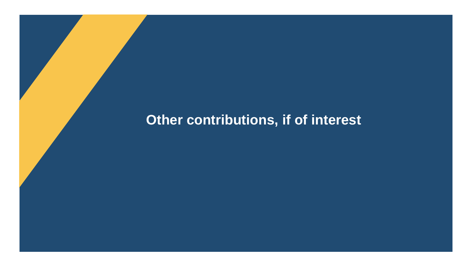### **Other contributions, if of interest**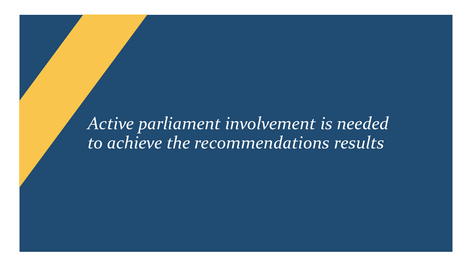*Active parliament involvement is needed to achieve the recommendations results*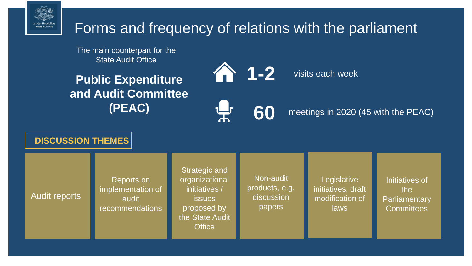

### Forms and frequency of relations with the parliament

The main counterpart for the State Audit Office

**Public Expenditure and Audit Committee (PEAC)**



visits each week



meetings in 2020 (45 with the PEAC)

**DISCUSSION THEMES**

Audit reports

Reports on implementation

of audit recommendations Reports on implementation of audit recommendations

Strategic and organizational initiatives / issues proposed by the State Audit **Office** 

Non-audit products, e.g. discussion papers

**Legislative** initiatives, draft modification of laws

Initiatives of the Parliamentary **Committees**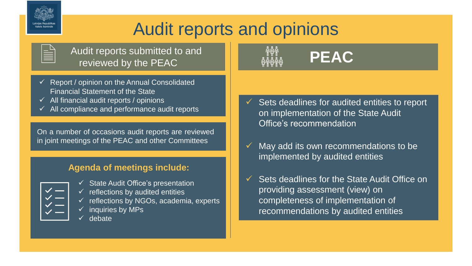

## Audit reports and opinions

| - |
|---|
|   |
|   |
|   |
|   |

Audit reports submitted to and reviewed by the PEAC

- $\checkmark$  Report / opinion on the Annual Consolidated Financial Statement of the State
- $\checkmark$  All financial audit reports / opinions
- $\checkmark$  All compliance and performance audit reports

On a number of occasions audit reports are reviewed in joint meetings of the PEAC and other Committees

#### **Agenda of meetings include:**

| Œ                            |  |
|------------------------------|--|
| r.<br><b>Service Service</b> |  |
| a.<br>۳                      |  |

 $\checkmark$  State Audit Office's presentation  $\checkmark$  reflections by audited entities reflections by NGOs, academia, experts

- inquiries by MPs
- ✓ debate



- $\checkmark$  Sets deadlines for audited entities to report on implementation of the State Audit Office's recommendation
- $\checkmark$  May add its own recommendations to be implemented by audited entities
- $\checkmark$  Sets deadlines for the State Audit Office on providing assessment (view) on completeness of implementation of recommendations by audited entities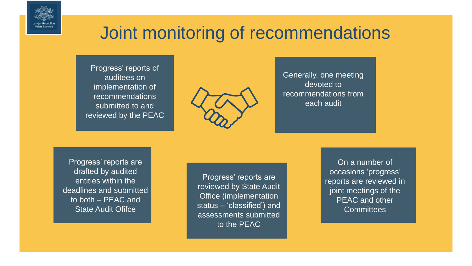

## Joint monitoring of recommendations

Progress' reports of auditees on implementation of recommendations submitted to and reviewed by the PEAC



Generally, one meeting devoted to recommendations from each audit

Progress' reports are drafted by audited entities within the deadlines and submitted to both – PEAC and State Audit Ofifce

Progress' reports are reviewed by State Audit Office (implementation status – 'classified') and assessments submitted to the PEAC

On a number of occasions 'progress' reports are reviewed in joint meetings of the PEAC and other **Committees**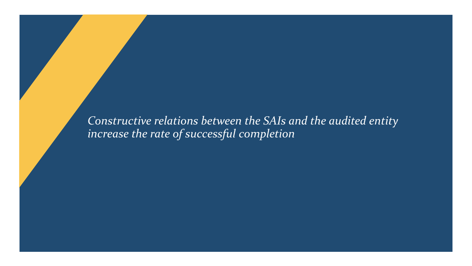*Constructive relations between the SAIs and the audited entity increase the rate of successful completion*